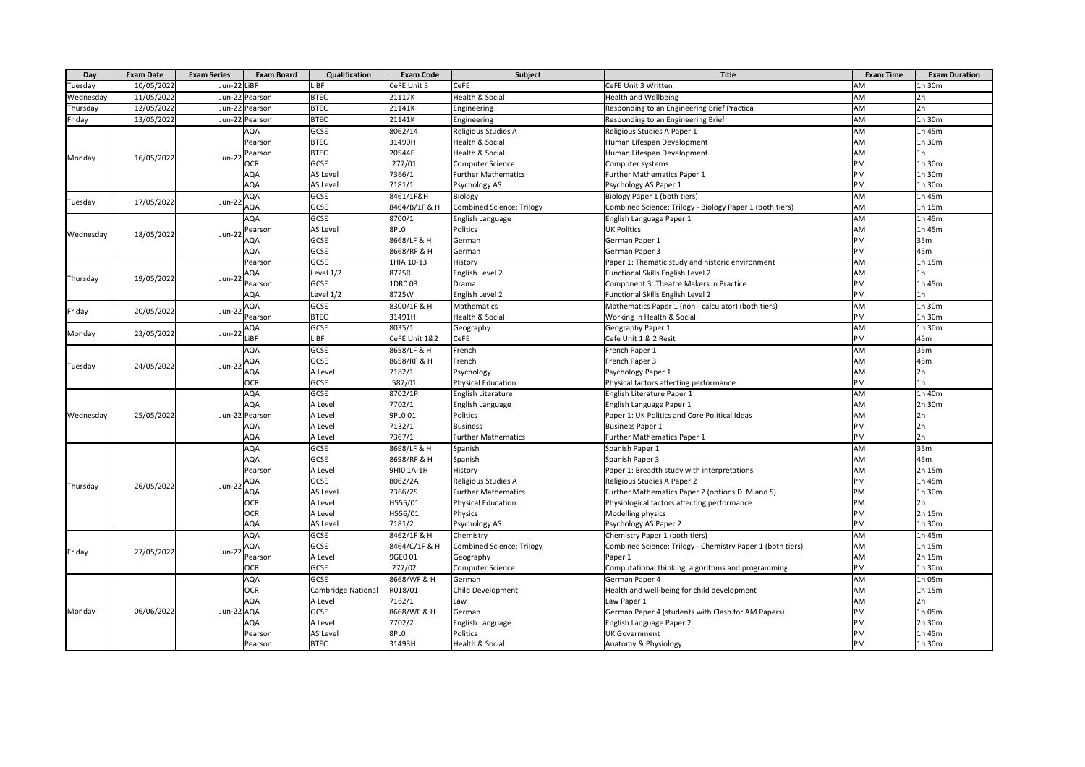| Day       | <b>Exam Date</b> | <b>Exam Series</b> | <b>Exam Board</b> | Qualification      | <b>Exam Code</b> | Subject                          | <b>Title</b>                                               | <b>Exam Time</b> | <b>Exam Duration</b> |
|-----------|------------------|--------------------|-------------------|--------------------|------------------|----------------------------------|------------------------------------------------------------|------------------|----------------------|
| Tuesday   | 10/05/2022       | Jun-22 LiBF        |                   | LiBF               | CeFE Unit 3      | CeFE                             | CeFE Unit 3 Written                                        | AM               | 1h 30m               |
| Wednesday | 11/05/2022       | $Jun-2$            | Pearson           | <b>BTEC</b>        | 21117K           | Health & Social                  | <b>Health and Wellbeing</b>                                | AM               | 2h                   |
| Thursday  | 12/05/2022       | $Jun-22$           | Pearson           | <b>BTEC</b>        | 21141K           | Engineering                      | Responding to an Engineering Brief Practical               | AM               | 2 <sub>h</sub>       |
| Friday    | 13/05/2022       | Jun-22             | Pearson           | <b>BTEC</b>        | 21141K           | Engineering                      | Responding to an Engineering Brief                         | AM               | 1h 30m               |
|           |                  |                    | AQA               | <b>GCSE</b>        | 8062/14          | Religious Studies A              | Religious Studies A Paper 1                                | AM               | 1h 45m               |
|           |                  |                    | Pearson           | <b>BTEC</b>        | 31490H           | Health & Social                  | Human Lifespan Development                                 | AM               | 1h 30m               |
| Monday    | 16/05/2022       |                    | Pearson           | <b>BTEC</b>        | 20544E           | <b>Health &amp; Social</b>       | Human Lifespan Development                                 | AM               | 1 <sub>h</sub>       |
|           |                  | <b>Jun-22</b>      | <b>OCR</b>        | GCSE               | J277/01          | Computer Science                 | Computer systems                                           | PM               | 1h 30m               |
|           |                  |                    | AQA               | AS Level           | 7366/1           | <b>Further Mathematics</b>       | <b>Further Mathematics Paper 1</b>                         | PM               | 1h 30m               |
|           |                  |                    | AQA               | AS Level           | 7181/1           | Psychology AS                    | Psychology AS Paper 1                                      | PM               | 1h 30m               |
|           | 17/05/2022       | Jun-22             | AQA               | GCSE               | 8461/1F&H        | Biology                          | Biology Paper 1 (both tiers)                               | AM               | $1h$ 45m             |
| Tuesday   |                  |                    | AQA               | <b>GCSE</b>        | 8464/B/1F & H    | <b>Combined Science: Trilogy</b> | Combined Science: Trilogy - Biology Paper 1 (both tiers)   | AM               | 1h 15m               |
|           |                  |                    | AQA               | <b>GCSE</b>        | 8700/1           | English Language                 | English Language Paper 1                                   | AM               | 1h 45m               |
| Wednesday | 18/05/2022       | Jun-22             | Pearson           | <b>AS Level</b>    | 8PLO             | Politics                         | <b>UK Politics</b>                                         | AM               | 1h 45m               |
|           |                  |                    | AQA               | <b>GCSE</b>        | 8668/LF & H      | German                           | German Paper 1                                             | PM               | 35m                  |
|           |                  |                    | AQA               | <b>GCSE</b>        | 8668/RF & H      | German                           | German Paper 3                                             | PM               | 45m                  |
|           |                  |                    | Pearson           | GCSE               | 1HIA 10-13       | History                          | Paper 1: Thematic study and historic environment           | AM               | 1h 15m               |
| Thursday  | 19/05/2022       | $Jun-21$           | AQA               | Level 1/2          | 8725R            | English Level 2                  | Functional Skills English Level 2                          | AM               | 1 <sub>h</sub>       |
|           |                  |                    | Pearson           | <b>GCSE</b>        | 1DR003           | Drama                            | Component 3: Theatre Makers in Practice                    | PM               | 1h 45m               |
|           |                  |                    | AQA               | Level 1/2          | 8725W            | English Level 2                  | Functional Skills English Level 2                          | PM               | 1h                   |
| Friday    | 20/05/2022       | $Jun-22$           | AQA               | <b>GCSE</b>        | 8300/1F & H      | Mathematics                      | Mathematics Paper 1 (non - calculator) (both tiers)        | AM               | 1h 30m               |
|           |                  |                    | Pearson           | <b>BTEC</b>        | 31491H           | Health & Social                  | Working in Health & Social                                 | PM               | 1h 30m               |
| Monday    |                  | $Jun-22$           | AQA               | GCSE               | 8035/1           | Geography                        | Geography Paper 1                                          | AM               | 1h 30m               |
|           | 23/05/2022       |                    | LiBF              | LiBF               | CeFE Unit 1&2    | CeFE                             | Cefe Unit 1 & 2 Resit                                      | PM               | 45m                  |
|           |                  | $Jun-22$           | AQA               | <b>GCSE</b>        | 8658/LF & H      | French                           | French Paper 1                                             | AM               | 35m                  |
| Tuesday   | 24/05/2022       |                    | AQA               | <b>GCSE</b>        | 8658/RF & H      | French                           | French Paper 3                                             | AM               | 45m                  |
|           |                  |                    | AQA               | A Level            | 7182/1           | Psychology                       | Psychology Paper 1                                         | AM               | 2 <sub>h</sub>       |
|           |                  |                    | <b>OCR</b>        | GCSE               | J587/01          | <b>Physical Education</b>        | Physical factors affecting performance                     | PM               | 1 <sub>h</sub>       |
|           |                  |                    | AQA               | GCSE               | 8702/1P          | English Literature               | English Literature Paper 1                                 | AM               | 1h 40m               |
|           |                  |                    | AQA               | A Level            | 7702/1           | English Language                 | English Language Paper 1                                   | AM               | 2h 30m               |
| Wednesday | 25/05/2022       | Jun-22             | Pearson           | A Level            | 9PL0 01          | Politics                         | Paper 1: UK Politics and Core Political Ideas              | AM               | 2h                   |
|           |                  |                    | AQA               | A Level            | 7132/1           | <b>Business</b>                  | <b>Business Paper 1</b>                                    | PM               | 2h                   |
|           |                  |                    | AQA               | A Level            | 7367/1           | <b>Further Mathematics</b>       | Further Mathematics Paper 1                                | PM               | 2 <sub>h</sub>       |
|           | 26/05/2022       | Jun-22             | AQA               | GCSE               | 8698/LF & H      | Spanish                          | Spanish Paper 1                                            | AM               | 35m                  |
|           |                  |                    | AQA               | <b>GCSE</b>        | 8698/RF & H      | Spanish                          | Spanish Paper 3                                            | AM               | 45 <sub>m</sub>      |
|           |                  |                    | Pearson           | A Level            | 9HI0 1A-1H       | History                          | Paper 1: Breadth study with interpretations                | AM               | 2h 15m               |
| Thursday  |                  |                    | AQA               | <b>GCSE</b>        | 8062/2A          | Religious Studies A              | Religious Studies A Paper 2                                | PM               | 1h 45m               |
|           |                  |                    | AQA               | AS Level           | 7366/2S          | <b>Further Mathematics</b>       | Further Mathematics Paper 2 (options D M and S)            | PM               | 1h 30m               |
|           |                  |                    | <b>OCR</b>        | A Level            | H555/01          | <b>Physical Education</b>        | Physiological factors affecting performance                | PM               | 2h                   |
|           |                  |                    | <b>OCR</b>        | A Level            | H556/01          | Physics                          | Modelling physics                                          | PM               | 2h 15m               |
|           |                  |                    | AQA               | <b>AS Level</b>    | 7181/2           | Psychology AS                    | Psychology AS Paper 2                                      | PM               | 1h 30m               |
|           | 27/05/2022       | $Jun-22$           | AQA               | GCSE               | 8462/1F & H      | Chemistry                        | Chemistry Paper 1 (both tiers)                             | AM               | 1h 45m               |
| Friday    |                  |                    | AQA               | GCSE               | 8464/C/1F & H    | <b>Combined Science: Trilogy</b> | Combined Science: Trilogy - Chemistry Paper 1 (both tiers) | AM               | 1h 15m               |
|           |                  |                    | Pearson           | A Level            | 9GE0 01          | Geography                        | Paper 1                                                    | AM               | 2h 15m               |
|           |                  |                    | <b>OCR</b>        | GCSE               | J277/02          | Computer Science                 | Computational thinking algorithms and programming          | PM               | 1h 30m               |
|           | 06/06/2022       | Jun-22             | AQA               | GCSE               | 8668/WF & H      | German                           | German Paper 4                                             | AM               | 1h 05m               |
|           |                  |                    | <b>OCR</b>        | Cambridge National | R018/01          | Child Development                | Health and well-being for child development                | AM               | 1h 15m               |
|           |                  |                    | AQA               | A Level            | 7162/1           | Law                              | Law Paper 1                                                | AM               | 2h                   |
| Monday    |                  |                    | AQA               | GCSE               | 8668/WF & H      | German                           | German Paper 4 (students with Clash for AM Papers)         | PM               | 1h 05m               |
|           |                  |                    | AQA               | A Level            | 7702/2           | English Language                 | English Language Paper 2                                   | PM               | 2h 30m               |
|           |                  |                    | Pearson           | <b>AS Level</b>    | 8PLO             | Politics                         | <b>UK Government</b>                                       | PM               | 1h 45m               |
|           |                  |                    | Pearson           | <b>BTEC</b>        | 31493H           | Health & Social                  | Anatomy & Physiology                                       | PM               | 1h 30m               |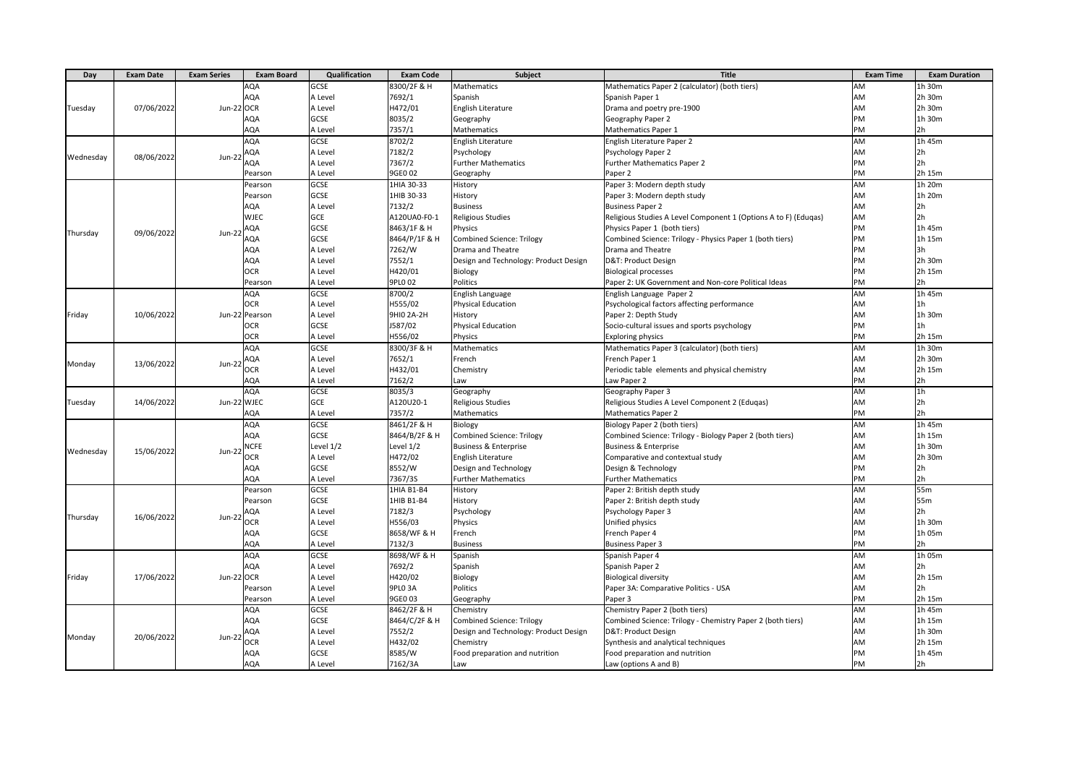| Day       | <b>Exam Date</b> | <b>Exam Series</b> | <b>Exam Board</b> | Qualification | <b>Exam Code</b>   | <b>Subject</b>                        | <b>Title</b>                                                    | <b>Exam Time</b> | <b>Exam Duration</b> |
|-----------|------------------|--------------------|-------------------|---------------|--------------------|---------------------------------------|-----------------------------------------------------------------|------------------|----------------------|
|           |                  |                    | AQA               | GCSE          | 8300/2F & H        | Mathematics                           | Mathematics Paper 2 (calculator) (both tiers)                   | AM               | 1h 30m               |
|           | 07/06/2022       |                    | AQA               | A Level       | 7692/1             | Spanish                               | Spanish Paper 1                                                 | AM               | 2h 30m               |
| Tuesday   |                  | Jun-22 OCR         |                   | A Level       | H472/01            | <b>English Literature</b>             | Drama and poetry pre-1900                                       | AM               | 2h 30m               |
|           |                  |                    | AQA               | GCSE          | 8035/2             | Geography                             | Geography Paper 2                                               | PM               | 1h 30m               |
|           |                  |                    | AQA               | A Level       | 7357/1             | Mathematics                           | <b>Mathematics Paper 1</b>                                      | PM               | 2 <sub>h</sub>       |
| Wednesday |                  |                    | AQA               | GCSE          | 8702/2             | English Literature                    | English Literature Paper 2                                      | AM               | 1h 45m               |
|           |                  |                    | AQA               | A Level       | 7182/2             | Psychology                            | Psychology Paper 2                                              | AM               | 2 <sub>h</sub>       |
|           | 08/06/2022       | Jun-22             | AQA               | A Level       | 7367/2             | <b>Further Mathematics</b>            | Further Mathematics Paper 2                                     | PM               | 2 <sub>h</sub>       |
|           |                  |                    | Pearson           | A Level       | 9GE0 02            | Geography                             | Paper 2                                                         | PM               | 2h 15m               |
|           |                  |                    | Pearson           | GCSE          | 1HIA 30-33         | History                               | Paper 3: Modern depth study                                     | AM               | 1h 20m               |
|           |                  |                    | Pearson           | GCSE          | 1HIB 30-33         | History                               | Paper 3: Modern depth study                                     | AM               | 1h 20m               |
|           |                  |                    | AQA               | A Level       | 7132/2             | <b>Business</b>                       | <b>Business Paper 2</b>                                         | AM               | 2 <sub>h</sub>       |
|           |                  |                    | <b>WJEC</b>       | GCE           | A120UA0-F0-1       | Religious Studies                     | Religious Studies A Level Component 1 (Options A to F) (Edugas) | AM               | 2h                   |
|           | 09/06/2022       |                    | AQA               | GCSE          | 8463/1F & H        | Physics                               | Physics Paper 1 (both tiers)                                    | PM               | 1h 45m               |
| Thursday  |                  | Jun-22             | AQA               | GCSE          | 8464/P/1F & H      | <b>Combined Science: Trilogy</b>      | Combined Science: Trilogy - Physics Paper 1 (both tiers)        | PM               | 1h 15m               |
|           |                  |                    | AQA               | A Level       | 7262/W             | Drama and Theatre                     | Drama and Theatre                                               | PM               | 3h                   |
|           |                  |                    | AQA               | A Level       | 7552/1             | Design and Technology: Product Design | D&T: Product Design                                             | PM               | 2h 30m               |
|           |                  |                    | <b>OCR</b>        | A Level       | H420/01            | Biology                               | <b>Biological processes</b>                                     | PM               | 2h 15m               |
|           |                  |                    | Pearson           | A Level       | 9PL0 02            | Politics                              | Paper 2: UK Government and Non-core Political Ideas             | PM               | 2h                   |
|           |                  |                    | AQA               | GCSE          | 8700/2             | English Language                      | English Language Paper 2                                        | AM               | $1h$ 45m             |
|           |                  |                    | <b>OCR</b>        | A Level       | H555/02            | <b>Physical Education</b>             | Psychological factors affecting performance                     | AM               | 1 <sub>h</sub>       |
| Friday    | 10/06/2022       |                    | Jun-22 Pearson    | A Level       | 9HI0 2A-2H         | History                               | Paper 2: Depth Study                                            | AM               | 1h 30m               |
|           |                  |                    | OCR               | GCSE          | J587/02            | <b>Physical Education</b>             | Socio-cultural issues and sports psychology                     | PM               | 1 <sub>h</sub>       |
|           |                  |                    | <b>OCR</b>        | A Level       | H556/02            | Physics                               | <b>Exploring physics</b>                                        | PM               | 2h 15m               |
|           | 13/06/2022       | Jun-22             | AQA               | <b>GCSE</b>   | 8300/3F & H        | Mathematics                           | Mathematics Paper 3 (calculator) (both tiers)                   | AM               | 1h 30m               |
| Monday    |                  |                    | AQA               | A Level       | 7652/1             | French                                | French Paper 1                                                  | AM               | 2h 30m               |
|           |                  |                    | OCR               | A Level       | H432/01            | Chemistry                             | Periodic table elements and physical chemistry                  | AM               | 2h 15m               |
|           |                  |                    | AQA               | A Level       | 7162/2             | Law                                   | Law Paper 2                                                     | PM               | 2 <sub>h</sub>       |
|           | 14/06/2022       | Jun-22 WJEC        | AQA               | GCSE          | 8035/3             | Geography                             | Geography Paper 3                                               | AM               | 1 <sub>h</sub>       |
| Tuesday   |                  |                    |                   | <b>GCE</b>    | A120U20-1          | <b>Religious Studies</b>              | Religious Studies A Level Component 2 (Eduqas)                  | AM               | 2 <sub>h</sub>       |
|           |                  |                    | AQA               | A Level       | 7357/2             | Mathematics                           | <b>Mathematics Paper 2</b>                                      | PM               | 2h                   |
|           | 15/06/2022       | Jun-22             | AQA               | GCSE          | 8461/2F & H        | Biology                               | Biology Paper 2 (both tiers)                                    | AM               | 1h 45m               |
|           |                  |                    | AQA               | GCSE          | 8464/B/2F & H      | <b>Combined Science: Trilogy</b>      | Combined Science: Trilogy - Biology Paper 2 (both tiers)        | AM               | 1h 15m               |
| Wednesday |                  |                    | <b>NCFE</b>       | Level 1/2     | Level 1/2          | <b>Business &amp; Enterprise</b>      | <b>Business &amp; Enterprise</b>                                | AM               | 1h 30m               |
|           |                  |                    | <b>OCR</b>        | A Level       | H472/02            | English Literature                    | Comparative and contextual study                                | AM               | 2h 30m               |
|           |                  |                    | AQA               | GCSE          | 8552/W             | Design and Technology                 | Design & Technology                                             | PM               | 2h                   |
|           |                  |                    | AQA               | A Level       | 7367/3S            | <b>Further Mathematics</b>            | <b>Further Mathematics</b>                                      | PM               | 2 <sub>h</sub>       |
| Thursday  | 16/06/2022       |                    | Pearson           | GCSE          | 1HIA B1-B4         | History                               | Paper 2: British depth study                                    | AM               | 55m                  |
|           |                  |                    | Pearson           | GCSE          | 1HIB B1-B4         | History                               | Paper 2: British depth study                                    | AM               | 55 <sub>m</sub>      |
|           |                  | Jun-22             | AQA               | A Level       | 7182/3             | Psychology                            | Psychology Paper 3                                              | AM               | 2 <sub>h</sub>       |
|           |                  |                    | <b>OCR</b>        | A Level       | H556/03            | Physics                               | Unified physics                                                 | AM               | 1h 30m               |
|           |                  |                    | AQA               | GCSE          | 8658/WF & H        | French                                | French Paper 4                                                  | PM               | 1h 05m               |
|           |                  |                    | AQA               | A Level       | 7132/3             | <b>Business</b>                       | <b>Business Paper 3</b>                                         | PM               | 2h                   |
| Friday    | 17/06/2022       | Jun-22 OCR         | AQA               | GCSE          | 8698/WF & H        | Spanish                               | Spanish Paper 4                                                 | <b>AM</b>        | 1h 05m               |
|           |                  |                    | AQA               | A Level       | 7692/2             | Spanish                               | Spanish Paper 2                                                 | AM               | 2 <sub>h</sub>       |
|           |                  |                    |                   | A Level       | H420/02            | Biology                               | <b>Biological diversity</b>                                     | <b>AM</b>        | 2h 15m               |
|           |                  |                    | Pearson           | A Level       | 9PLO <sub>3A</sub> | Politics                              | Paper 3A: Comparative Politics - USA                            | AM               | 2 <sub>h</sub>       |
|           |                  |                    | Pearson           | A Level       | 9GE0 03            | Geography                             | Paper 3                                                         | PM               | 2h 15m               |
|           |                  | Jun-22             | AQA               | <b>GCSE</b>   | 8462/2F & H        | Chemistry                             | Chemistry Paper 2 (both tiers)                                  | <b>AM</b>        | 1h 45m               |
|           | 20/06/2022       |                    | AQA               | GCSE          | 8464/C/2F & H      | Combined Science: Trilogy             | Combined Science: Trilogy - Chemistry Paper 2 (both tiers)      | AM               | 1h 15m               |
| Monday    |                  |                    | AQA               | A Level       | 7552/2             | Design and Technology: Product Design | D&T: Product Design                                             | AM               | 1h 30m               |
|           |                  |                    | <b>OCR</b>        | A Level       | H432/02            | Chemistry                             | Synthesis and analytical techniques                             | AM               | 2h 15m               |
|           |                  |                    | AQA               | GCSE          | 8585/W             | Food preparation and nutrition        | Food preparation and nutrition                                  | PM               | 1h 45m               |
|           |                  |                    | AQA               | A Level       | 7162/3A            | Law                                   | Law (options A and B)                                           | PM               | 2h                   |